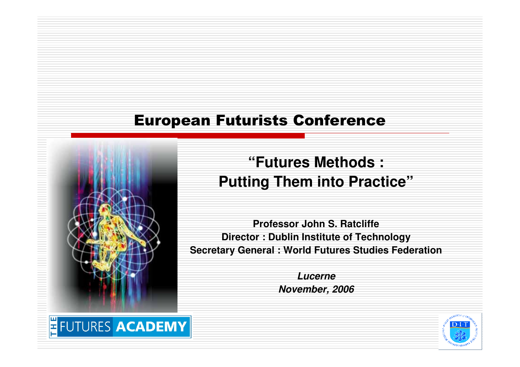#### European Futurists Conference



**"Futures Methods :Putting Them into Practice"**

**Professor John S. Ratcliffe Director : Dublin Institute of TechnologySecretary General : World Futures Studies Federation**

> **LucerneNovember, 2006**

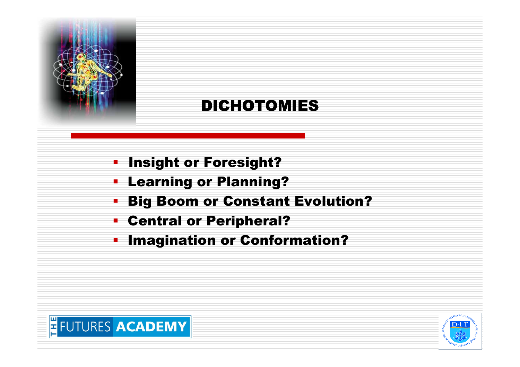

## DICHOTOMIES

- $\blacksquare$ Insight or Foresight?
- **E** Learning or Planning? П
- **Big Boom or Constant Evolution?** п
- Central or Peripheral?
- **EXTE:** Imagination or Conformation?  $\blacksquare$



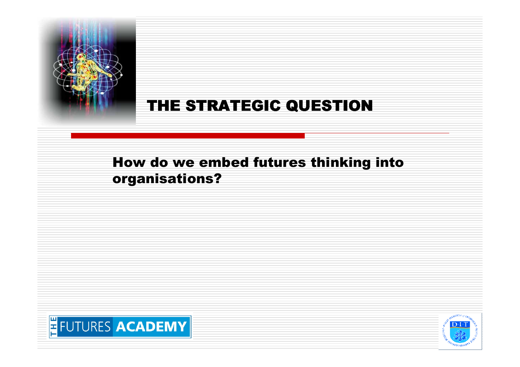

### THE STRATEGIC QUESTION

#### How do we embed futures thinking into organisations?



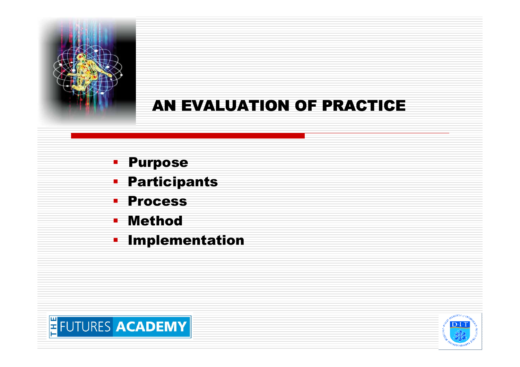

## AN EVALUATION OF PRACTICE

- $\mathbf{r}$ Purpose
- **Participants**
- $\blacksquare$ Process
- Method $\blacksquare$
- **E** Implementation E



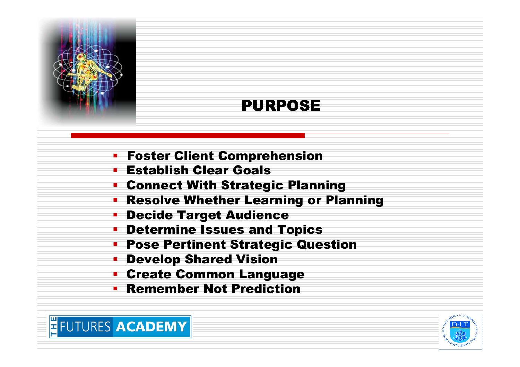

## PURPOSE

- Foster Client Comprehension
- Establish Clear Goals
- Connect With Strategic Planning
- Resolve Whether Learning or Planning
- Decide Target Audience
- Determine Issues and Topics
- Pose Pertinent Strategic Question
- Develop Shared Vision
- Create Common Language
- **Exemember Not Prediction**



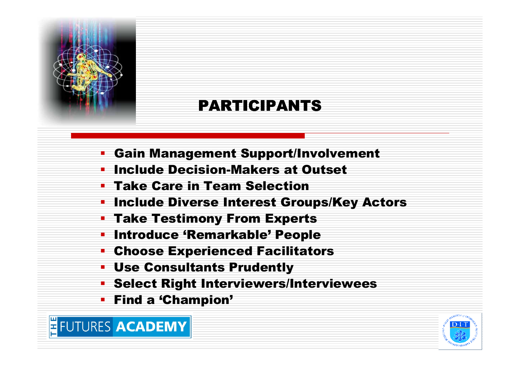

## PARTICIPANTS

- Gain Management Support/Involvement
- **The Include Decision-Makers at Outset**
- Take Care in Team Selection
- **Exercise Interest Groups/Key Actors** Include Diverse Interest Groups/Key Actors
- Take Testimony From Experts
- **Introduce 'Remarkable' People**
- Choose Experienced Facilitators
- Use Consultants Prudently
- Select Right Interviewers/Interviewees
- Find a 'Champion'

**FUTURES ACADEMY** 

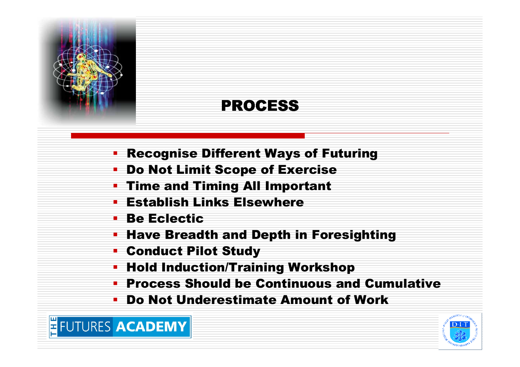

## PROCESS

- Recognise Different Ways of Futuring
- Do Not Limit Scope of Exercise
- Time and Timing All Important
- <u>• Establish Links Elsewhere</u>
- Be Eclectic

FUTURES ACADEMY

- Have Breadth and Depth in Foresighting $\blacksquare$
- Conduct Pilot Study
- Hold Induction/Training Workshop
- Process Should be Continuous and Cumulativeп
- Do Not Underestimate Amount of Work

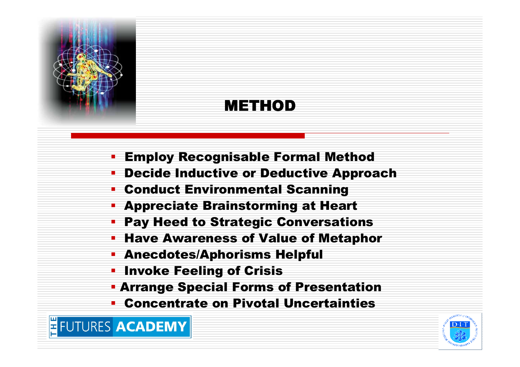

#### METHOD

- Employ Recognisable Formal Method
- Decide Inductive or Deductive Approach
- Conduct Environmental Scanning
- Appreciate Brainstorming at Heart
- Pay Heed to Strategic Conversations
- Have Awareness of Value of Metaphor
- Anecdotes/Aphorisms Helpful
- <u>• Invoke Feeling of Crisis</u>
- Arrange Special Forms of Presentation
- Concentrate on Pivotal Uncertainties



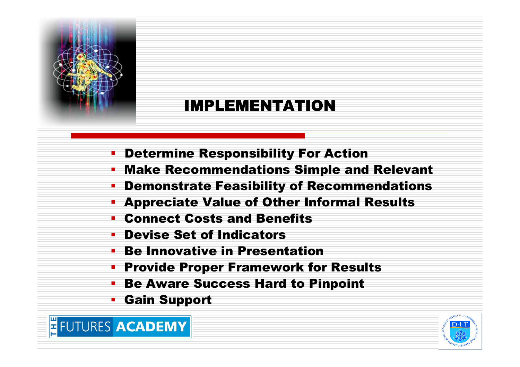

#### IMPLEMENTATION

- Determine Responsibility For Action
- Make Recommendations Simple and Relevant
- Demonstrate Feasibility of Recommendations
- Appreciate Value of Other Informal Results
- Connect Costs and Benefits
- Devise Set of Indicators
- **Be Innovative in Presentation**
- Provide Proper Framework for Results
- Be Aware Success Hard to Pinpoint
- Gain Support

FUTURES ACADEMY

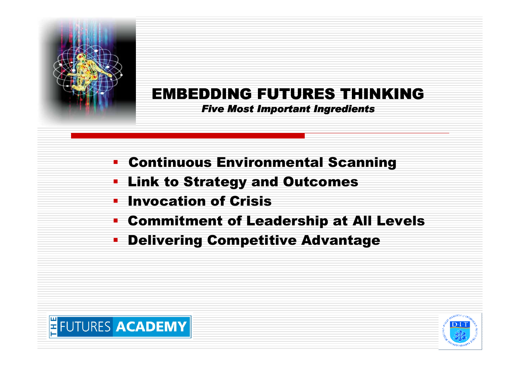

## EMBEDDING FUTURES THINKING

#### Five Most Important Ingredients

- Continuous Environmental Scanning
- т Link to Strategy and Outcomes
- П Invocation of Crisis
- Commitment of Leadership at All Levels
- $\blacksquare$ Delivering Competitive Advantage



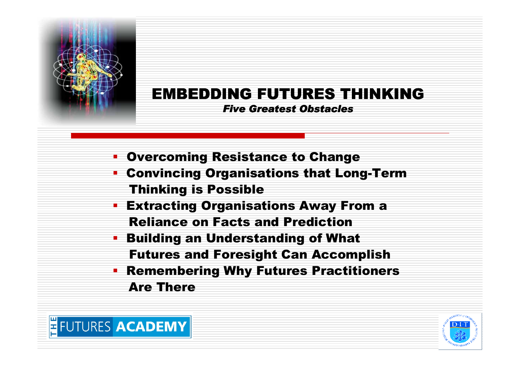

# EMBEDDING FUTURES THINKING

Five Greatest Obstacles

- Overcoming Resistance to Change
- Convincing Organisations that Long-Term Thinking is Possible
- Extracting Organisations Away From a Reliance on Facts and Prediction
- Building an Understanding of What Futures and Foresight Can Accomplish
- Remembering Why Futures Practitioners **Service Service** Are There



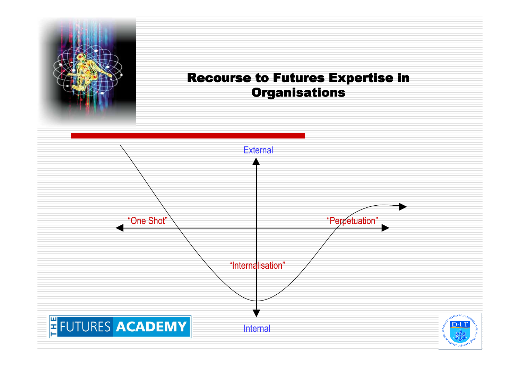